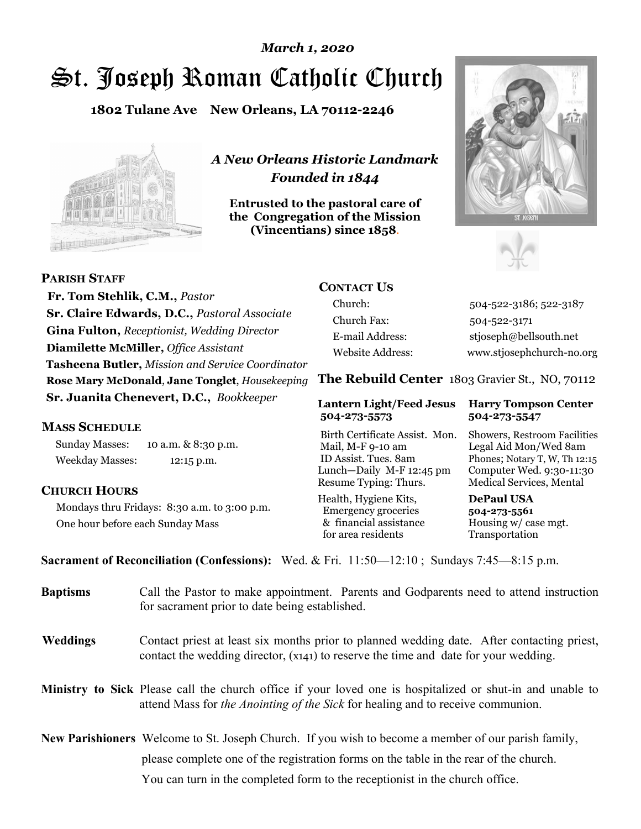# St. Joseph Roman Catholic Church *March 1, 2020*

**1802 Tulane Ave New Orleans, LA 70112-2246**



*A New Orleans Historic Landmark Founded in 1844* 

**Entrusted to the pastoral care of the Congregation of the Mission (Vincentians) since 1858**.





 **Fr. Tom Stehlik, C.M.,** *Pastor* **Sr. Claire Edwards, D.C.,** *Pastoral Associate* **Gina Fulton,** *Receptionist, Wedding Director* **Diamilette McMiller,** *Office Assistant* **Tasheena Butler,** *Mission and Service Coordinator* **Rose Mary McDonald**, **Jane Tonglet**, *Housekeeping* **Sr. Juanita Chenevert, D.C.,** *Bookkeeper* 

#### **MASS SCHEDULE**

**PARISH STAFF**

Sunday Masses: 10 a.m. & 8:30 p.m. Weekday Masses: 12:15 p.m.

#### **CHURCH HOURS**

Mondays thru Fridays: 8:30 a.m. to 3:00 p.m. One hour before each Sunday Mass

## **CONTACT US**

Church: 504-522-3186; 522-3187 Church Fax: 504-522-3171 E-mail Address: stjoseph@bellsouth.net Website Address: www.stjosephchurch-no.org

**The Rebuild Center** 1803 Gravier St., NO, 70112

#### **Lantern Light/Feed Jesus Harry Tompson Center 504-273-5573 504-273-5547**

Birth Certificate Assist. Mon. Showers, Restroom Facilities Mail, M-F 9-10 am Legal Aid Mon/Wed 8am ID Assist. Tues. 8am Phones; Notary T, W, Th 12:15 Lunch—Daily M-F 12:45 pm Computer Wed. 9:30-11:30 Resume Typing: Thurs. Medical Services, Mental

Health, Hygiene Kits, **DePaul USA**  Emergency groceries **504-273-5561** & financial assistance Housing w/ case mgt. for area residents Transportation

**Sacrament of Reconciliation (Confessions):** Wed. & Fri. 11:50—12:10 ; Sundays 7:45—8:15 p.m.

| <b>Baptisms</b> | Call the Pastor to make appointment. Parents and Godparents need to attend instruction<br>for sacrament prior to date being established.                                                            |  |
|-----------------|-----------------------------------------------------------------------------------------------------------------------------------------------------------------------------------------------------|--|
| <b>Weddings</b> | Contact priest at least six months prior to planned wedding date. After contacting priest,<br>contact the wedding director, (x141) to reserve the time and date for your wedding.                   |  |
|                 | <b>Ministry to Sick</b> Please call the church office if your loved one is hospitalized or shut-in and unable to<br>attend Mass for the Anointing of the Sick for healing and to receive communion. |  |
|                 | <b>New Parishioners</b> Welcome to St. Joseph Church. If you wish to become a member of our parish family,                                                                                          |  |
|                 | please complete one of the registration forms on the table in the rear of the church.                                                                                                               |  |
|                 | You can turn in the completed form to the reception is the church office.                                                                                                                           |  |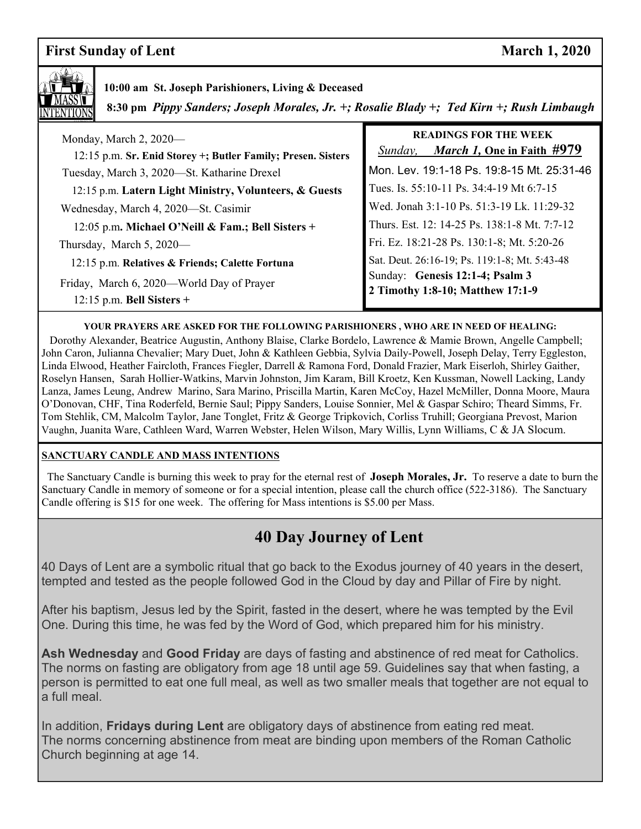## **First Sunday of Lent** March 1, 2020



### **10:00 am St. Joseph Parishioners, Living & Deceased**

 **8:30 pm** *Pippy Sanders; Joseph Morales, Jr. +; Rosalie Blady +; Ted Kirn +; Rush Limbaugh*

| Monday, March 2, 2020—<br>12:15 p.m. Sr. Enid Storey +; Butler Family; Presen. Sisters | <b>READINGS FOR THE WEEK</b><br><i>March 1</i> , One in Faith #979<br>Sunday, |
|----------------------------------------------------------------------------------------|-------------------------------------------------------------------------------|
| Tuesday, March 3, 2020—St. Katharine Drexel                                            | Mon. Lev. 19:1-18 Ps. 19:8-15 Mt. 25:31-46                                    |
| 12:15 p.m. Latern Light Ministry, Volunteers, & Guests                                 | Tues. Is. 55:10-11 Ps. 34:4-19 Mt 6:7-15                                      |
| Wednesday, March 4, 2020—St. Casimir                                                   | Wed. Jonah 3:1-10 Ps. 51:3-19 Lk. 11:29-32                                    |
| 12:05 p.m. Michael O'Neill & Fam.; Bell Sisters +                                      | Thurs. Est. 12: 14-25 Ps. 138:1-8 Mt. 7:7-12                                  |
| Thursday, March 5, 2020—                                                               | Fri. Ez. 18:21-28 Ps. 130:1-8; Mt. 5:20-26                                    |
| 12:15 p.m. Relatives & Friends; Calette Fortuna                                        | Sat. Deut. 26:16-19; Ps. 119:1-8; Mt. 5:43-48                                 |
| Friday, March 6, 2020—World Day of Prayer<br>$12:15$ p.m. Bell Sisters +               | Sunday: Genesis 12:1-4; Psalm 3<br>2 Timothy 1:8-10; Matthew 17:1-9           |

#### **YOUR PRAYERS ARE ASKED FOR THE FOLLOWING PARISHIONERS , WHO ARE IN NEED OF HEALING:**

 Dorothy Alexander, Beatrice Augustin, Anthony Blaise, Clarke Bordelo, Lawrence & Mamie Brown, Angelle Campbell; John Caron, Julianna Chevalier; Mary Duet, John & Kathleen Gebbia, Sylvia Daily-Powell, Joseph Delay, Terry Eggleston, Linda Elwood, Heather Faircloth, Frances Fiegler, Darrell & Ramona Ford, Donald Frazier, Mark Eiserloh, Shirley Gaither, Roselyn Hansen, Sarah Hollier-Watkins, Marvin Johnston, Jim Karam, Bill Kroetz, Ken Kussman, Nowell Lacking, Landy Lanza, James Leung, Andrew Marino, Sara Marino, Priscilla Martin, Karen McCoy, Hazel McMiller, Donna Moore, Maura O'Donovan, CHF, Tina Roderfeld, Bernie Saul; Pippy Sanders, Louise Sonnier, Mel & Gaspar Schiro; Theard Simms, Fr. Tom Stehlik, CM, Malcolm Taylor, Jane Tonglet, Fritz & George Tripkovich, Corliss Truhill; Georgiana Prevost, Marion Vaughn, Juanita Ware, Cathleen Ward, Warren Webster, Helen Wilson, Mary Willis, Lynn Williams, C & JA Slocum.

#### **SANCTUARY CANDLE AND MASS INTENTIONS**

 The Sanctuary Candle is burning this week to pray for the eternal rest of **Joseph Morales, Jr.** To reserve a date to burn the Sanctuary Candle in memory of someone or for a special intention, please call the church office (522-3186). The Sanctuary Candle offering is \$15 for one week. The offering for Mass intentions is \$5.00 per Mass.

## **40 Day Journey of Lent**

40 Days of Lent are a symbolic ritual that go back to the Exodus journey of 40 years in the desert, tempted and tested as the people followed God in the Cloud by day and Pillar of Fire by night.

After his baptism, Jesus led by the Spirit, fasted in the desert, where he was tempted by the Evil One. During this time, he was fed by the Word of God, which prepared him for his ministry.

**Ash Wednesday** and **Good Friday** are days of fasting and abstinence of red meat for Catholics. The norms on fasting are obligatory from age 18 until age 59. Guidelines say that when fasting, a person is permitted to eat one full meal, as well as two smaller meals that together are not equal to a full meal.

In addition, **Fridays during Lent** are obligatory days of abstinence from eating red meat. The norms concerning abstinence from meat are binding upon members of the Roman Catholic Church beginning at age 14.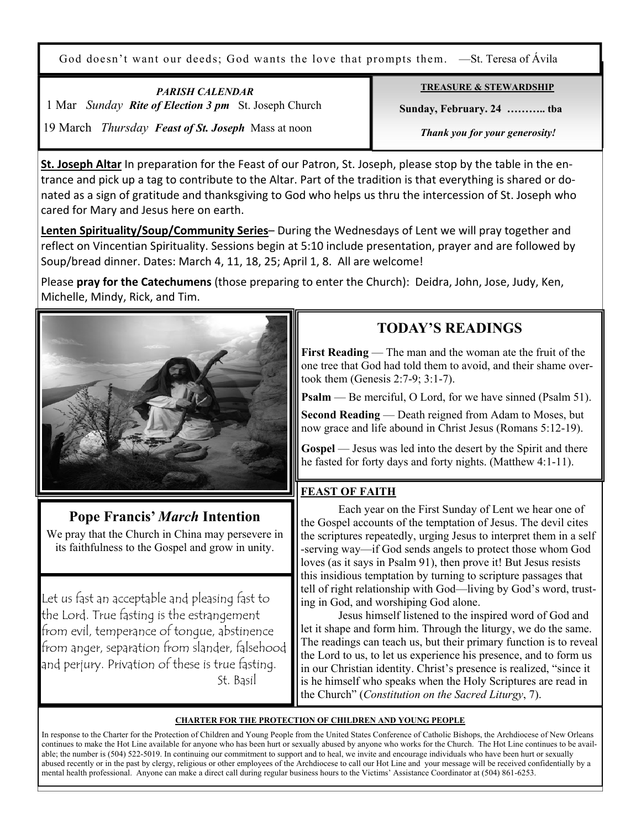God doesn't want our deeds; God wants the love that prompts them. —St. Teresa of Ávila

*PARISH CALENDAR*  1 Mar *Sunday Rite of Election 3 pm* St. Joseph Church 19 March *Thursday Feast of St. Joseph* Mass at noon

**TREASURE & STEWARDSHIP**

 **Sunday, February. 24 ……….. tba**

 *Thank you for your generosity!* 

**St. Joseph Altar** In preparation for the Feast of our Patron, St. Joseph, please stop by the table in the entrance and pick up a tag to contribute to the Altar. Part of the tradition is that everything is shared or donated as a sign of gratitude and thanksgiving to God who helps us thru the intercession of St. Joseph who cared for Mary and Jesus here on earth.

**Lenten Spirituality/Soup/Community Series**– During the Wednesdays of Lent we will pray together and reflect on Vincentian Spirituality. Sessions begin at 5:10 include presentation, prayer and are followed by Soup/bread dinner. Dates: March 4, 11, 18, 25; April 1, 8. All are welcome!

Please **pray for the Catechumens** (those preparing to enter the Church): Deidra, John, Jose, Judy, Ken, Michelle, Mindy, Rick, and Tim.



## **Pope Francis'** *March* **Intention**

We pray that the Church in China may persevere in its faithfulness to the Gospel and grow in unity.

Let us fast an acceptable and pleasing fast to the Lord. True fasting is the estrangement from evil, temperance of tongue, abstinence from anger, separation from slander, falsehood and perjury. Privation of these is true fasting. St. Basil

## **TODAY'S READINGS**

**First Reading** — The man and the woman ate the fruit of the one tree that God had told them to avoid, and their shame overtook them (Genesis 2:7-9; 3:1-7).

**Psalm** — Be merciful, O Lord, for we have sinned (Psalm 51).

**Second Reading** — Death reigned from Adam to Moses, but now grace and life abound in Christ Jesus (Romans 5:12-19).

**Gospel** — Jesus was led into the desert by the Spirit and there he fasted for forty days and forty nights. (Matthew 4:1-11).

#### **FEAST OF FAITH**

 Each year on the First Sunday of Lent we hear one of the Gospel accounts of the temptation of Jesus. The devil cites the scriptures repeatedly, urging Jesus to interpret them in a self -serving way—if God sends angels to protect those whom God loves (as it says in Psalm 91), then prove it! But Jesus resists this insidious temptation by turning to scripture passages that tell of right relationship with God—living by God's word, trusting in God, and worshiping God alone.

 Jesus himself listened to the inspired word of God and let it shape and form him. Through the liturgy, we do the same. The readings can teach us, but their primary function is to reveal the Lord to us, to let us experience his presence, and to form us in our Christian identity. Christ's presence is realized, "since it is he himself who speaks when the Holy Scriptures are read in the Church" (*Constitution on the Sacred Liturgy*, 7).

#### **CHARTER FOR THE PROTECTION OF CHILDREN AND YOUNG PEOPLE**

In response to the Charter for the Protection of Children and Young People from the United States Conference of Catholic Bishops, the Archdiocese of New Orleans continues to make the Hot Line available for anyone who has been hurt or sexually abused by anyone who works for the Church. The Hot Line continues to be available; the number is (504) 522-5019. In continuing our commitment to support and to heal, we invite and encourage individuals who have been hurt or sexually abused recently or in the past by clergy, religious or other employees of the Archdiocese to call our Hot Line and your message will be received confidentially by a mental health professional. Anyone can make a direct call during regular business hours to the Victims' Assistance Coordinator at (504) 861-6253.